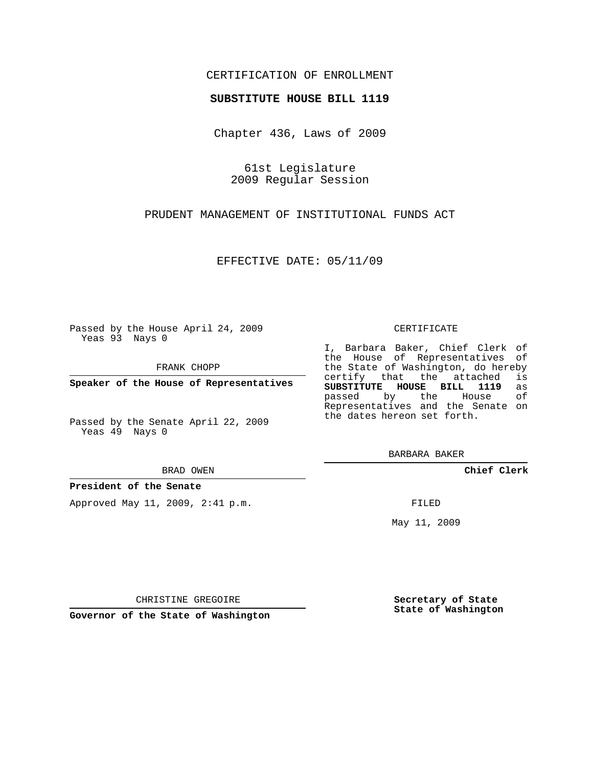### CERTIFICATION OF ENROLLMENT

#### **SUBSTITUTE HOUSE BILL 1119**

Chapter 436, Laws of 2009

61st Legislature 2009 Regular Session

PRUDENT MANAGEMENT OF INSTITUTIONAL FUNDS ACT

EFFECTIVE DATE: 05/11/09

Passed by the House April 24, 2009 Yeas 93 Nays 0

FRANK CHOPP

**Speaker of the House of Representatives**

Passed by the Senate April 22, 2009 Yeas 49 Nays 0

#### BRAD OWEN

#### **President of the Senate**

Approved May 11, 2009, 2:41 p.m.

#### CERTIFICATE

I, Barbara Baker, Chief Clerk of the House of Representatives of the State of Washington, do hereby<br>certify that the attached is certify that the attached **SUBSTITUTE HOUSE BILL 1119** as passed by the House of Representatives and the Senate on the dates hereon set forth.

BARBARA BAKER

**Chief Clerk**

FILED

May 11, 2009

**Secretary of State State of Washington**

CHRISTINE GREGOIRE

**Governor of the State of Washington**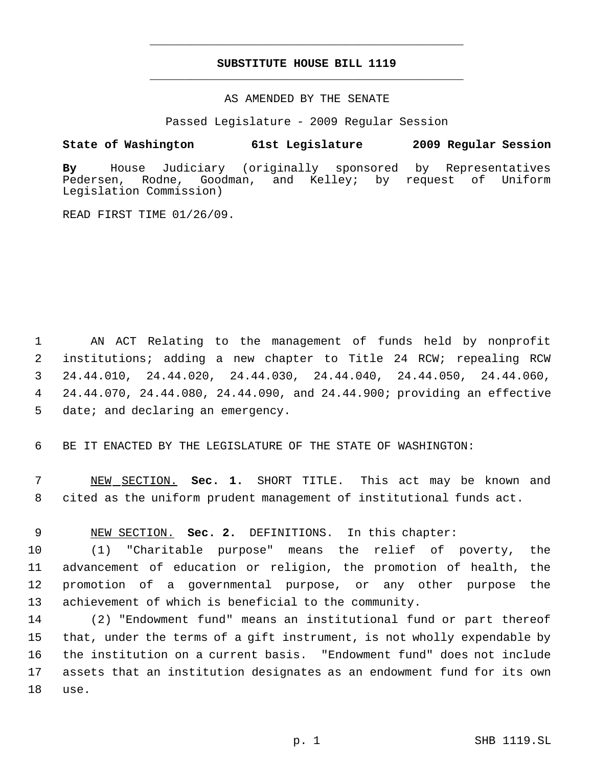# **SUBSTITUTE HOUSE BILL 1119** \_\_\_\_\_\_\_\_\_\_\_\_\_\_\_\_\_\_\_\_\_\_\_\_\_\_\_\_\_\_\_\_\_\_\_\_\_\_\_\_\_\_\_\_\_

\_\_\_\_\_\_\_\_\_\_\_\_\_\_\_\_\_\_\_\_\_\_\_\_\_\_\_\_\_\_\_\_\_\_\_\_\_\_\_\_\_\_\_\_\_

### AS AMENDED BY THE SENATE

Passed Legislature - 2009 Regular Session

## **State of Washington 61st Legislature 2009 Regular Session**

**By** House Judiciary (originally sponsored by Representatives Pedersen, Rodne, Goodman, and Kelley; by request of Legislation Commission)

READ FIRST TIME 01/26/09.

 AN ACT Relating to the management of funds held by nonprofit institutions; adding a new chapter to Title 24 RCW; repealing RCW 24.44.010, 24.44.020, 24.44.030, 24.44.040, 24.44.050, 24.44.060, 24.44.070, 24.44.080, 24.44.090, and 24.44.900; providing an effective date; and declaring an emergency.

BE IT ENACTED BY THE LEGISLATURE OF THE STATE OF WASHINGTON:

 NEW SECTION. **Sec. 1.** SHORT TITLE. This act may be known and cited as the uniform prudent management of institutional funds act.

NEW SECTION. **Sec. 2.** DEFINITIONS. In this chapter:

 (1) "Charitable purpose" means the relief of poverty, the advancement of education or religion, the promotion of health, the promotion of a governmental purpose, or any other purpose the achievement of which is beneficial to the community.

 (2) "Endowment fund" means an institutional fund or part thereof that, under the terms of a gift instrument, is not wholly expendable by the institution on a current basis. "Endowment fund" does not include assets that an institution designates as an endowment fund for its own use.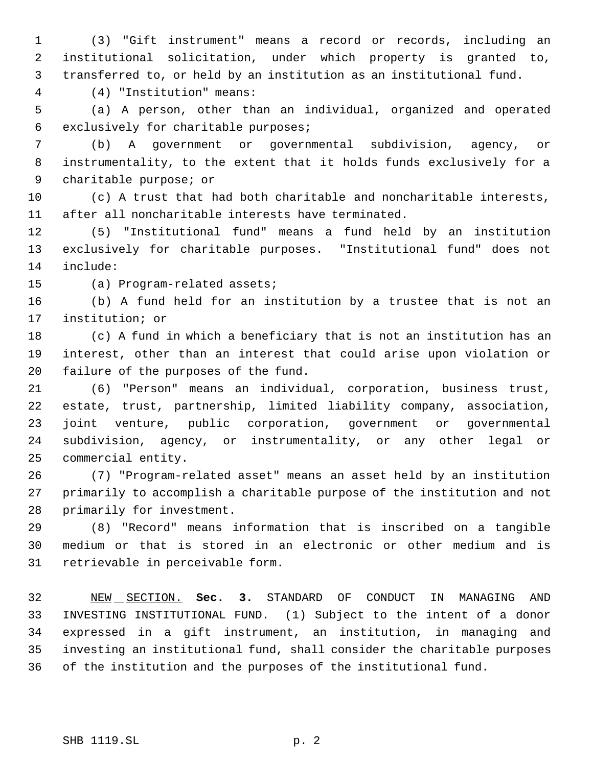(3) "Gift instrument" means a record or records, including an institutional solicitation, under which property is granted to, transferred to, or held by an institution as an institutional fund.

(4) "Institution" means:

 (a) A person, other than an individual, organized and operated exclusively for charitable purposes;

 (b) A government or governmental subdivision, agency, or instrumentality, to the extent that it holds funds exclusively for a charitable purpose; or

 (c) A trust that had both charitable and noncharitable interests, after all noncharitable interests have terminated.

 (5) "Institutional fund" means a fund held by an institution exclusively for charitable purposes. "Institutional fund" does not include:

(a) Program-related assets;

 (b) A fund held for an institution by a trustee that is not an institution; or

 (c) A fund in which a beneficiary that is not an institution has an interest, other than an interest that could arise upon violation or failure of the purposes of the fund.

 (6) "Person" means an individual, corporation, business trust, estate, trust, partnership, limited liability company, association, joint venture, public corporation, government or governmental subdivision, agency, or instrumentality, or any other legal or commercial entity.

 (7) "Program-related asset" means an asset held by an institution primarily to accomplish a charitable purpose of the institution and not primarily for investment.

 (8) "Record" means information that is inscribed on a tangible medium or that is stored in an electronic or other medium and is retrievable in perceivable form.

 NEW SECTION. **Sec. 3.** STANDARD OF CONDUCT IN MANAGING AND INVESTING INSTITUTIONAL FUND. (1) Subject to the intent of a donor expressed in a gift instrument, an institution, in managing and investing an institutional fund, shall consider the charitable purposes of the institution and the purposes of the institutional fund.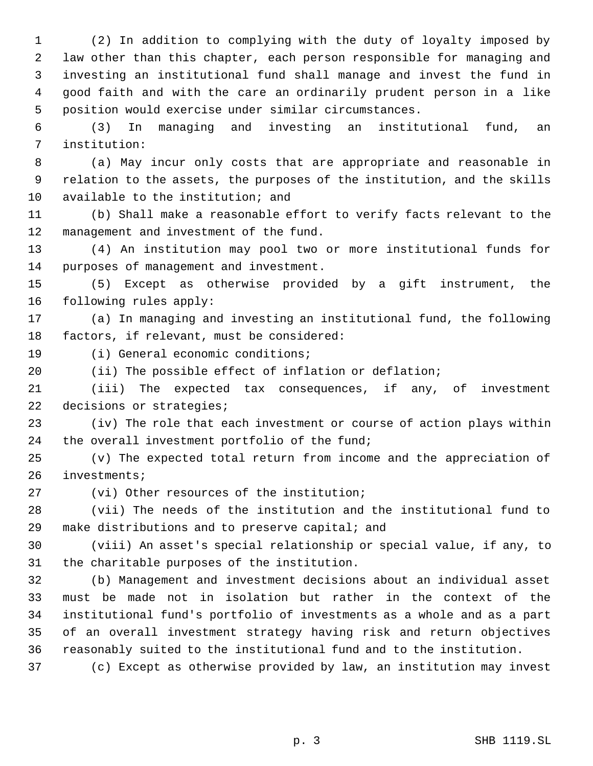(2) In addition to complying with the duty of loyalty imposed by law other than this chapter, each person responsible for managing and investing an institutional fund shall manage and invest the fund in good faith and with the care an ordinarily prudent person in a like position would exercise under similar circumstances.

 (3) In managing and investing an institutional fund, an institution:

 (a) May incur only costs that are appropriate and reasonable in relation to the assets, the purposes of the institution, and the skills available to the institution; and

 (b) Shall make a reasonable effort to verify facts relevant to the management and investment of the fund.

 (4) An institution may pool two or more institutional funds for purposes of management and investment.

 (5) Except as otherwise provided by a gift instrument, the following rules apply:

 (a) In managing and investing an institutional fund, the following factors, if relevant, must be considered:

(i) General economic conditions;

(ii) The possible effect of inflation or deflation;

 (iii) The expected tax consequences, if any, of investment decisions or strategies;

 (iv) The role that each investment or course of action plays within 24 the overall investment portfolio of the fund;

 (v) The expected total return from income and the appreciation of investments;

(vi) Other resources of the institution;

 (vii) The needs of the institution and the institutional fund to make distributions and to preserve capital; and

 (viii) An asset's special relationship or special value, if any, to the charitable purposes of the institution.

 (b) Management and investment decisions about an individual asset must be made not in isolation but rather in the context of the institutional fund's portfolio of investments as a whole and as a part of an overall investment strategy having risk and return objectives reasonably suited to the institutional fund and to the institution.

(c) Except as otherwise provided by law, an institution may invest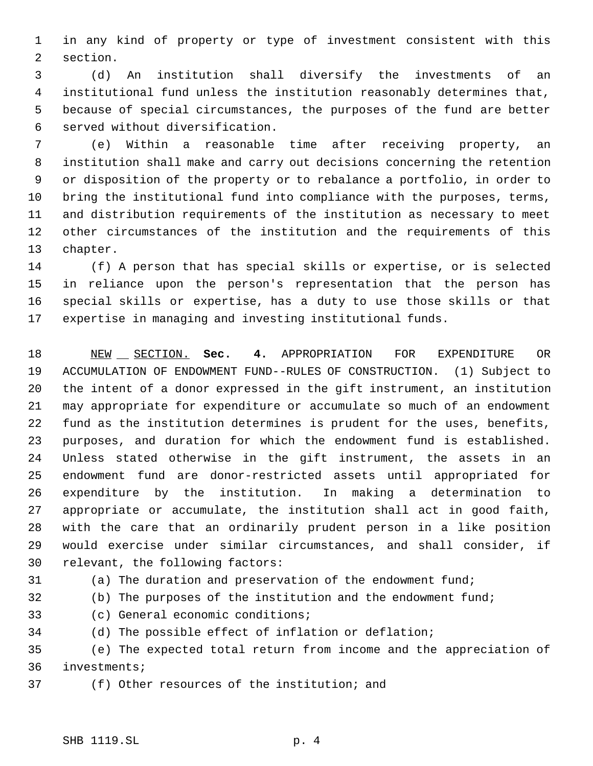in any kind of property or type of investment consistent with this section.

 (d) An institution shall diversify the investments of an institutional fund unless the institution reasonably determines that, because of special circumstances, the purposes of the fund are better served without diversification.

 (e) Within a reasonable time after receiving property, an institution shall make and carry out decisions concerning the retention or disposition of the property or to rebalance a portfolio, in order to bring the institutional fund into compliance with the purposes, terms, and distribution requirements of the institution as necessary to meet other circumstances of the institution and the requirements of this chapter.

 (f) A person that has special skills or expertise, or is selected in reliance upon the person's representation that the person has special skills or expertise, has a duty to use those skills or that expertise in managing and investing institutional funds.

 NEW SECTION. **Sec. 4.** APPROPRIATION FOR EXPENDITURE OR ACCUMULATION OF ENDOWMENT FUND--RULES OF CONSTRUCTION. (1) Subject to the intent of a donor expressed in the gift instrument, an institution may appropriate for expenditure or accumulate so much of an endowment fund as the institution determines is prudent for the uses, benefits, purposes, and duration for which the endowment fund is established. Unless stated otherwise in the gift instrument, the assets in an endowment fund are donor-restricted assets until appropriated for expenditure by the institution. In making a determination to appropriate or accumulate, the institution shall act in good faith, with the care that an ordinarily prudent person in a like position would exercise under similar circumstances, and shall consider, if relevant, the following factors:

(a) The duration and preservation of the endowment fund;

(b) The purposes of the institution and the endowment fund;

(c) General economic conditions;

(d) The possible effect of inflation or deflation;

 (e) The expected total return from income and the appreciation of investments;

(f) Other resources of the institution; and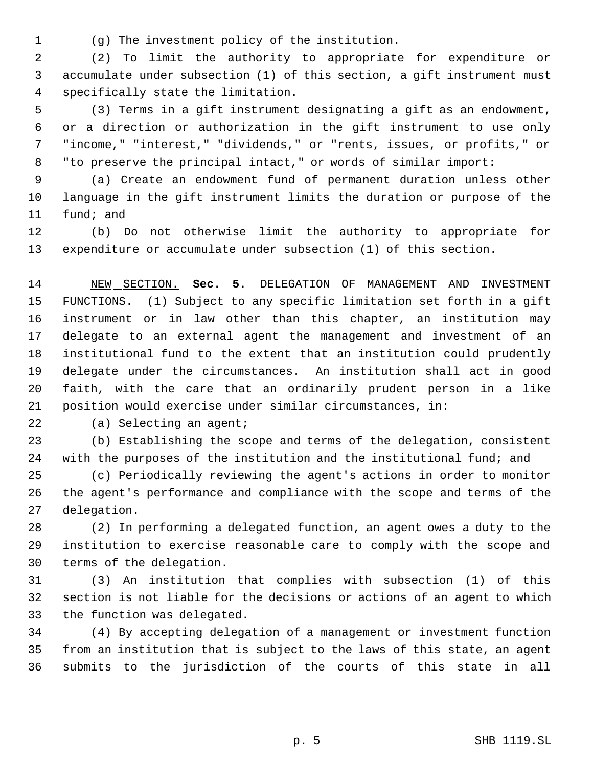(g) The investment policy of the institution.

 (2) To limit the authority to appropriate for expenditure or accumulate under subsection (1) of this section, a gift instrument must specifically state the limitation.

 (3) Terms in a gift instrument designating a gift as an endowment, or a direction or authorization in the gift instrument to use only "income," "interest," "dividends," or "rents, issues, or profits," or "to preserve the principal intact," or words of similar import:

 (a) Create an endowment fund of permanent duration unless other language in the gift instrument limits the duration or purpose of the fund; and

 (b) Do not otherwise limit the authority to appropriate for expenditure or accumulate under subsection (1) of this section.

 NEW SECTION. **Sec. 5.** DELEGATION OF MANAGEMENT AND INVESTMENT FUNCTIONS. (1) Subject to any specific limitation set forth in a gift instrument or in law other than this chapter, an institution may delegate to an external agent the management and investment of an institutional fund to the extent that an institution could prudently delegate under the circumstances. An institution shall act in good faith, with the care that an ordinarily prudent person in a like position would exercise under similar circumstances, in:

(a) Selecting an agent;

 (b) Establishing the scope and terms of the delegation, consistent with the purposes of the institution and the institutional fund; and

 (c) Periodically reviewing the agent's actions in order to monitor the agent's performance and compliance with the scope and terms of the delegation.

 (2) In performing a delegated function, an agent owes a duty to the institution to exercise reasonable care to comply with the scope and terms of the delegation.

 (3) An institution that complies with subsection (1) of this section is not liable for the decisions or actions of an agent to which the function was delegated.

 (4) By accepting delegation of a management or investment function from an institution that is subject to the laws of this state, an agent submits to the jurisdiction of the courts of this state in all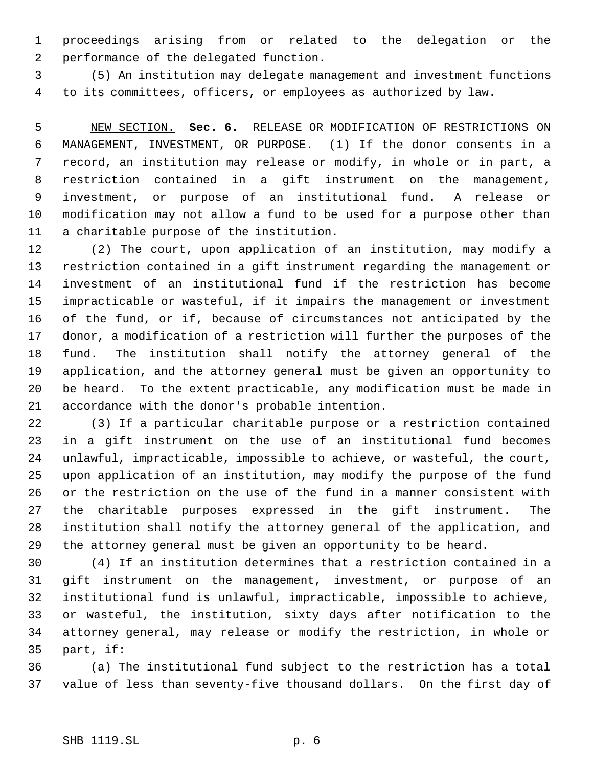proceedings arising from or related to the delegation or the performance of the delegated function.

 (5) An institution may delegate management and investment functions to its committees, officers, or employees as authorized by law.

 NEW SECTION. **Sec. 6.** RELEASE OR MODIFICATION OF RESTRICTIONS ON MANAGEMENT, INVESTMENT, OR PURPOSE. (1) If the donor consents in a record, an institution may release or modify, in whole or in part, a restriction contained in a gift instrument on the management, investment, or purpose of an institutional fund. A release or modification may not allow a fund to be used for a purpose other than a charitable purpose of the institution.

 (2) The court, upon application of an institution, may modify a restriction contained in a gift instrument regarding the management or investment of an institutional fund if the restriction has become impracticable or wasteful, if it impairs the management or investment of the fund, or if, because of circumstances not anticipated by the donor, a modification of a restriction will further the purposes of the fund. The institution shall notify the attorney general of the application, and the attorney general must be given an opportunity to be heard. To the extent practicable, any modification must be made in accordance with the donor's probable intention.

 (3) If a particular charitable purpose or a restriction contained in a gift instrument on the use of an institutional fund becomes unlawful, impracticable, impossible to achieve, or wasteful, the court, upon application of an institution, may modify the purpose of the fund or the restriction on the use of the fund in a manner consistent with the charitable purposes expressed in the gift instrument. The institution shall notify the attorney general of the application, and the attorney general must be given an opportunity to be heard.

 (4) If an institution determines that a restriction contained in a gift instrument on the management, investment, or purpose of an institutional fund is unlawful, impracticable, impossible to achieve, or wasteful, the institution, sixty days after notification to the attorney general, may release or modify the restriction, in whole or part, if:

 (a) The institutional fund subject to the restriction has a total value of less than seventy-five thousand dollars. On the first day of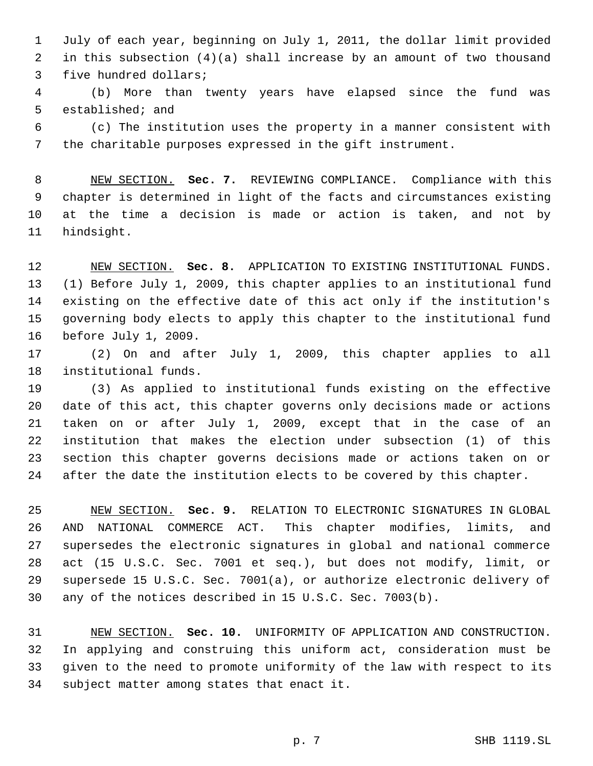July of each year, beginning on July 1, 2011, the dollar limit provided in this subsection (4)(a) shall increase by an amount of two thousand five hundred dollars;

 (b) More than twenty years have elapsed since the fund was established; and

 (c) The institution uses the property in a manner consistent with the charitable purposes expressed in the gift instrument.

 NEW SECTION. **Sec. 7.** REVIEWING COMPLIANCE. Compliance with this chapter is determined in light of the facts and circumstances existing at the time a decision is made or action is taken, and not by hindsight.

 NEW SECTION. **Sec. 8.** APPLICATION TO EXISTING INSTITUTIONAL FUNDS. (1) Before July 1, 2009, this chapter applies to an institutional fund existing on the effective date of this act only if the institution's governing body elects to apply this chapter to the institutional fund before July 1, 2009.

 (2) On and after July 1, 2009, this chapter applies to all institutional funds.

 (3) As applied to institutional funds existing on the effective date of this act, this chapter governs only decisions made or actions taken on or after July 1, 2009, except that in the case of an institution that makes the election under subsection (1) of this section this chapter governs decisions made or actions taken on or after the date the institution elects to be covered by this chapter.

 NEW SECTION. **Sec. 9.** RELATION TO ELECTRONIC SIGNATURES IN GLOBAL AND NATIONAL COMMERCE ACT. This chapter modifies, limits, and supersedes the electronic signatures in global and national commerce act (15 U.S.C. Sec. 7001 et seq.), but does not modify, limit, or supersede 15 U.S.C. Sec. 7001(a), or authorize electronic delivery of any of the notices described in 15 U.S.C. Sec. 7003(b).

 NEW SECTION. **Sec. 10.** UNIFORMITY OF APPLICATION AND CONSTRUCTION. In applying and construing this uniform act, consideration must be given to the need to promote uniformity of the law with respect to its subject matter among states that enact it.